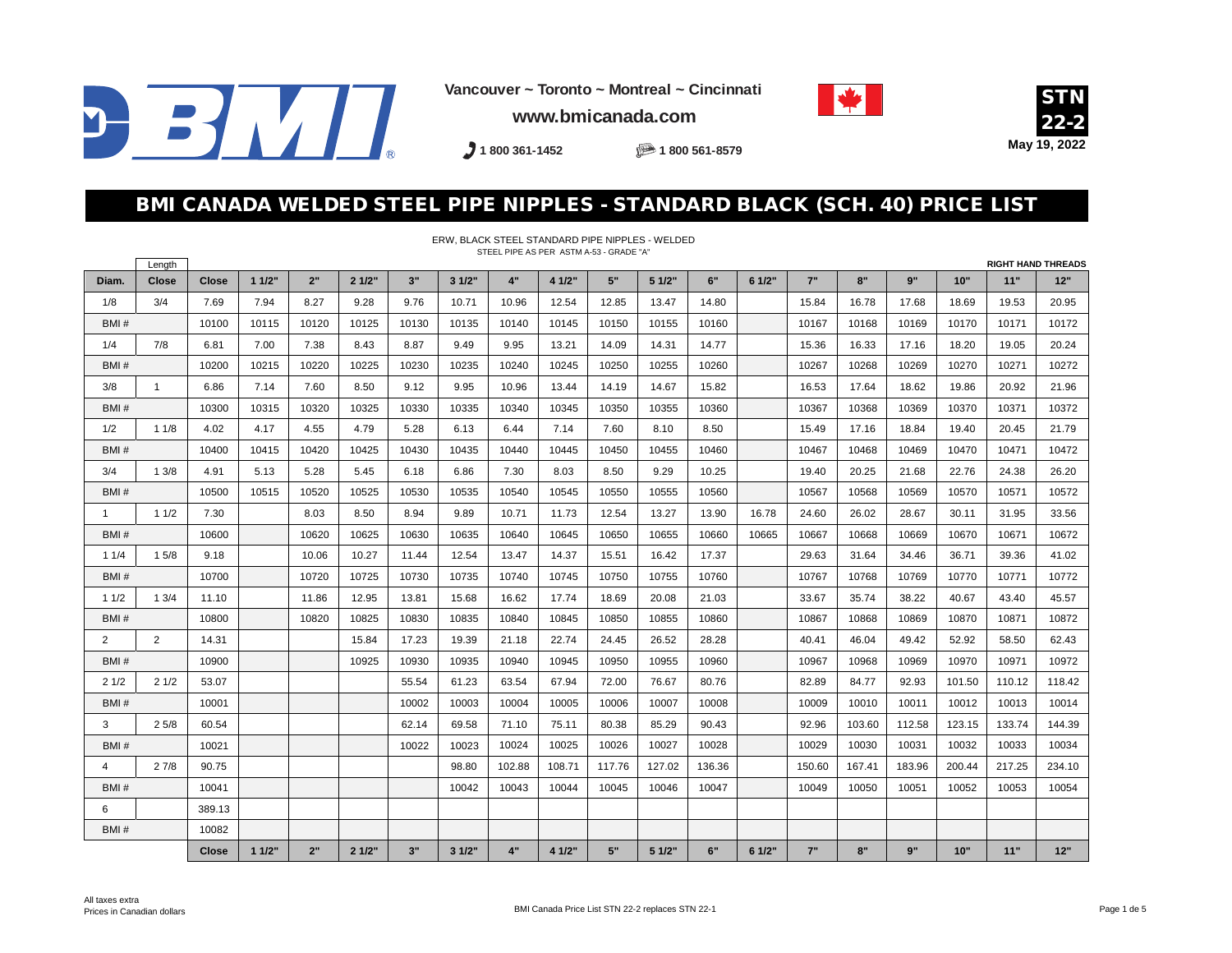

**Vancouver ~ Toronto ~ Montreal ~ Cincinnati www.bmicanada.com**





**1 800 361-1452 1 800 561-8579**

### BMI CANADA WELDED STEEL PIPE NIPPLES - STANDARD BLACK (SCH. 40) PRICE LIST

|              | Length         | STEEL PIPE AS PER ASTM A-53 - GRADE "A"<br><b>RIGHT HAND THREADS</b> |       |       |       |       |       |        |        |        |        |        |        |        |        |        |        |        |        |
|--------------|----------------|----------------------------------------------------------------------|-------|-------|-------|-------|-------|--------|--------|--------|--------|--------|--------|--------|--------|--------|--------|--------|--------|
| Diam.        | Close          | <b>Close</b>                                                         | 11/2" | 2"    | 21/2" | 3"    | 31/2" | 4"     | 4 1/2" | 5"     | 5 1/2" | 6"     | 6 1/2" | 7"     | 8"     | 9"     | 10"    | 11"    | 12"    |
| 1/8          | 3/4            | 7.69                                                                 | 7.94  | 8.27  | 9.28  | 9.76  | 10.71 | 10.96  | 12.54  | 12.85  | 13.47  | 14.80  |        | 15.84  | 16.78  | 17.68  | 18.69  | 19.53  | 20.95  |
| BMI#         |                | 10100                                                                | 10115 | 10120 | 10125 | 10130 | 10135 | 10140  | 10145  | 10150  | 10155  | 10160  |        | 10167  | 10168  | 10169  | 10170  | 10171  | 10172  |
| 1/4          | 7/8            | 6.81                                                                 | 7.00  | 7.38  | 8.43  | 8.87  | 9.49  | 9.95   | 13.21  | 14.09  | 14.31  | 14.77  |        | 15.36  | 16.33  | 17.16  | 18.20  | 19.05  | 20.24  |
| BMI#         |                | 10200                                                                | 10215 | 10220 | 10225 | 10230 | 10235 | 10240  | 10245  | 10250  | 10255  | 10260  |        | 10267  | 10268  | 10269  | 10270  | 10271  | 10272  |
| 3/8          | $\mathbf{1}$   | 6.86                                                                 | 7.14  | 7.60  | 8.50  | 9.12  | 9.95  | 10.96  | 13.44  | 14.19  | 14.67  | 15.82  |        | 16.53  | 17.64  | 18.62  | 19.86  | 20.92  | 21.96  |
| BMI#         |                | 10300                                                                | 10315 | 10320 | 10325 | 10330 | 10335 | 10340  | 10345  | 10350  | 10355  | 10360  |        | 10367  | 10368  | 10369  | 10370  | 10371  | 10372  |
| 1/2          | 11/8           | 4.02                                                                 | 4.17  | 4.55  | 4.79  | 5.28  | 6.13  | 6.44   | 7.14   | 7.60   | 8.10   | 8.50   |        | 15.49  | 17.16  | 18.84  | 19.40  | 20.45  | 21.79  |
| BM#          |                | 10400                                                                | 10415 | 10420 | 10425 | 10430 | 10435 | 10440  | 10445  | 10450  | 10455  | 10460  |        | 10467  | 10468  | 10469  | 10470  | 10471  | 10472  |
| 3/4          | 13/8           | 4.91                                                                 | 5.13  | 5.28  | 5.45  | 6.18  | 6.86  | 7.30   | 8.03   | 8.50   | 9.29   | 10.25  |        | 19.40  | 20.25  | 21.68  | 22.76  | 24.38  | 26.20  |
| BMI#         |                | 10500                                                                | 10515 | 10520 | 10525 | 10530 | 10535 | 10540  | 10545  | 10550  | 10555  | 10560  |        | 10567  | 10568  | 10569  | 10570  | 10571  | 10572  |
| $\mathbf{1}$ | 11/2           | 7.30                                                                 |       | 8.03  | 8.50  | 8.94  | 9.89  | 10.71  | 11.73  | 12.54  | 13.27  | 13.90  | 16.78  | 24.60  | 26.02  | 28.67  | 30.11  | 31.95  | 33.56  |
| BMI#         |                | 10600                                                                |       | 10620 | 10625 | 10630 | 10635 | 10640  | 10645  | 10650  | 10655  | 10660  | 10665  | 10667  | 10668  | 10669  | 10670  | 10671  | 10672  |
| 11/4         | 15/8           | 9.18                                                                 |       | 10.06 | 10.27 | 11.44 | 12.54 | 13.47  | 14.37  | 15.51  | 16.42  | 17.37  |        | 29.63  | 31.64  | 34.46  | 36.71  | 39.36  | 41.02  |
| BMI#         |                | 10700                                                                |       | 10720 | 10725 | 10730 | 10735 | 10740  | 10745  | 10750  | 10755  | 10760  |        | 10767  | 10768  | 10769  | 10770  | 10771  | 10772  |
| 11/2         | 13/4           | 11.10                                                                |       | 11.86 | 12.95 | 13.81 | 15.68 | 16.62  | 17.74  | 18.69  | 20.08  | 21.03  |        | 33.67  | 35.74  | 38.22  | 40.67  | 43.40  | 45.57  |
| BMI#         |                | 10800                                                                |       | 10820 | 10825 | 10830 | 10835 | 10840  | 10845  | 10850  | 10855  | 10860  |        | 10867  | 10868  | 10869  | 10870  | 10871  | 10872  |
| 2            | $\overline{2}$ | 14.31                                                                |       |       | 15.84 | 17.23 | 19.39 | 21.18  | 22.74  | 24.45  | 26.52  | 28.28  |        | 40.41  | 46.04  | 49.42  | 52.92  | 58.50  | 62.43  |
| BMI#         |                | 10900                                                                |       |       | 10925 | 10930 | 10935 | 10940  | 10945  | 10950  | 10955  | 10960  |        | 10967  | 10968  | 10969  | 10970  | 10971  | 10972  |
| 21/2         | 21/2           | 53.07                                                                |       |       |       | 55.54 | 61.23 | 63.54  | 67.94  | 72.00  | 76.67  | 80.76  |        | 82.89  | 84.77  | 92.93  | 101.50 | 110.12 | 118.42 |
| BMI#         |                | 10001                                                                |       |       |       | 10002 | 10003 | 10004  | 10005  | 10006  | 10007  | 10008  |        | 10009  | 10010  | 10011  | 10012  | 10013  | 10014  |
| 3            | 25/8           | 60.54                                                                |       |       |       | 62.14 | 69.58 | 71.10  | 75.11  | 80.38  | 85.29  | 90.43  |        | 92.96  | 103.60 | 112.58 | 123.15 | 133.74 | 144.39 |
| BMI#         |                | 10021                                                                |       |       |       | 10022 | 10023 | 10024  | 10025  | 10026  | 10027  | 10028  |        | 10029  | 10030  | 10031  | 10032  | 10033  | 10034  |
| 4            | 27/8           | 90.75                                                                |       |       |       |       | 98.80 | 102.88 | 108.71 | 117.76 | 127.02 | 136.36 |        | 150.60 | 167.41 | 183.96 | 200.44 | 217.25 | 234.10 |
| BMI#         |                | 10041                                                                |       |       |       |       | 10042 | 10043  | 10044  | 10045  | 10046  | 10047  |        | 10049  | 10050  | 10051  | 10052  | 10053  | 10054  |
| 6            |                | 389.13                                                               |       |       |       |       |       |        |        |        |        |        |        |        |        |        |        |        |        |
| BMI#         |                | 10082                                                                |       |       |       |       |       |        |        |        |        |        |        |        |        |        |        |        |        |
|              |                | <b>Close</b>                                                         | 11/2" | 2"    | 21/2" | 3"    | 31/2" | 4"     | 4 1/2" | 5"     | 5 1/2" | 6"     | 6 1/2" | 7"     | 8"     | 9"     | 10"    | 11"    | $12"$  |

#### ERW, BLACK STEEL STANDARD PIPE NIPPLES - WELDED STEEL PIPE AS PER ASTM A-53 - GRADE "A"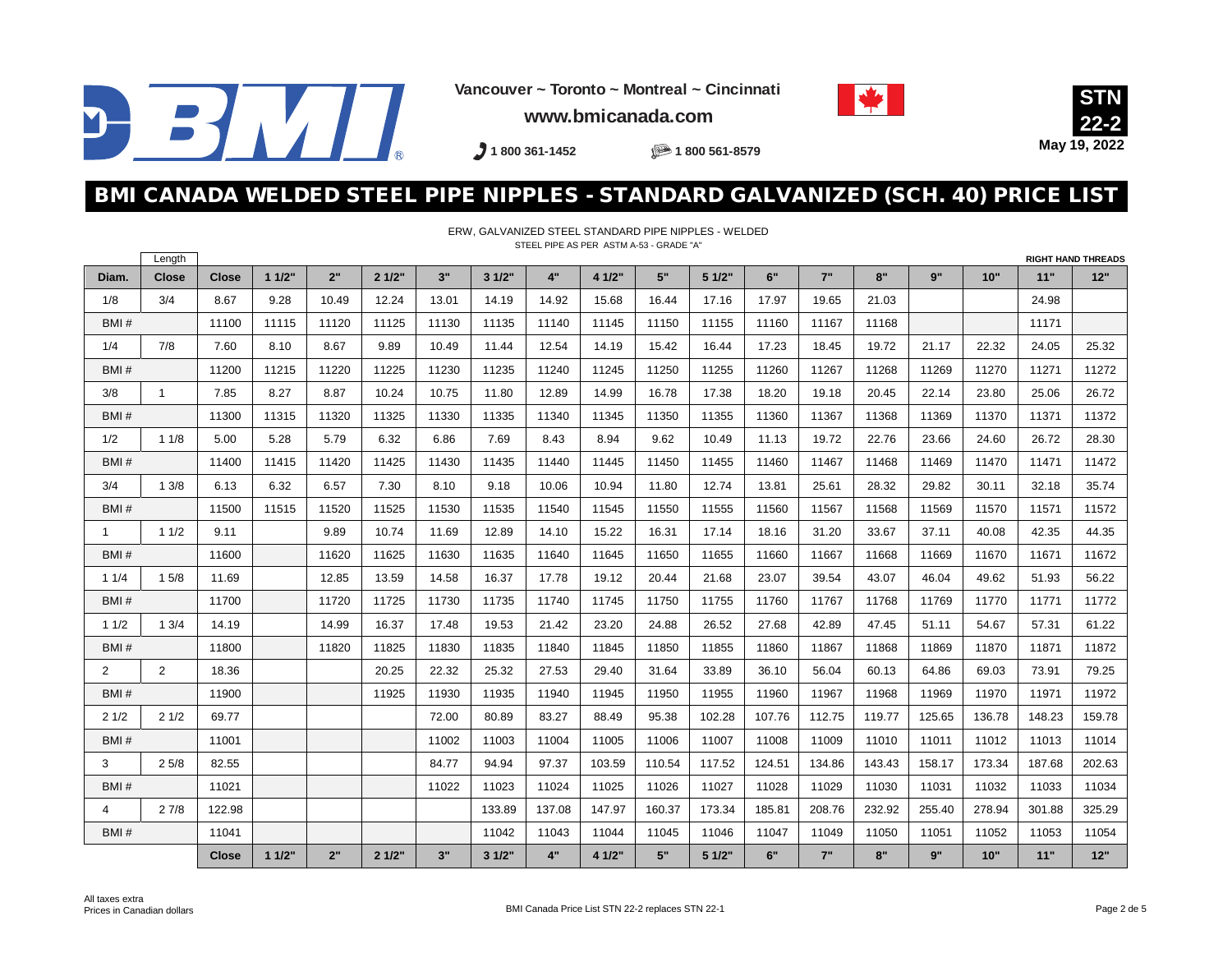

**Vancouver ~ Toronto ~ Montreal ~ Cincinnati**





**www.bmicanada.com**

**1 800 361-1452 1 800 561-8579**

### BMI CANADA WELDED STEEL PIPE NIPPLES - STANDARD GALVANIZED (SCH. 40) PRICE LIST

ERW, GALVANIZED STEEL STANDARD PIPE NIPPLES - WELDED

|                | Length       |              |       |       |       |       |        | STEEL PIPE AS PER ASTM A-53 - GRADE "A" |        |        |        |        |        |        |        |        |        | <b>RIGHT HAND THREADS</b> |
|----------------|--------------|--------------|-------|-------|-------|-------|--------|-----------------------------------------|--------|--------|--------|--------|--------|--------|--------|--------|--------|---------------------------|
| Diam.          | <b>Close</b> | <b>Close</b> | 11/2" | 2"    | 21/2" | 3"    | 31/2"  | 4"                                      | 4 1/2" | 5"     | 51/2"  | 6"     | 7"     | 8"     | 9"     | 10"    | 11"    | 12"                       |
| 1/8            | 3/4          | 8.67         | 9.28  | 10.49 | 12.24 | 13.01 | 14.19  | 14.92                                   | 15.68  | 16.44  | 17.16  | 17.97  | 19.65  | 21.03  |        |        | 24.98  |                           |
| BMI#           |              | 11100        | 11115 | 11120 | 11125 | 11130 | 11135  | 11140                                   | 11145  | 11150  | 11155  | 11160  | 11167  | 11168  |        |        | 11171  |                           |
| 1/4            | 7/8          | 7.60         | 8.10  | 8.67  | 9.89  | 10.49 | 11.44  | 12.54                                   | 14.19  | 15.42  | 16.44  | 17.23  | 18.45  | 19.72  | 21.17  | 22.32  | 24.05  | 25.32                     |
| BMI#           |              | 11200        | 11215 | 11220 | 11225 | 11230 | 11235  | 11240                                   | 11245  | 11250  | 11255  | 11260  | 11267  | 11268  | 11269  | 11270  | 11271  | 11272                     |
| 3/8            | $\mathbf{1}$ | 7.85         | 8.27  | 8.87  | 10.24 | 10.75 | 11.80  | 12.89                                   | 14.99  | 16.78  | 17.38  | 18.20  | 19.18  | 20.45  | 22.14  | 23.80  | 25.06  | 26.72                     |
| BMI#           |              | 11300        | 11315 | 11320 | 11325 | 11330 | 11335  | 11340                                   | 11345  | 11350  | 11355  | 11360  | 11367  | 11368  | 11369  | 11370  | 11371  | 11372                     |
| 1/2            | 11/8         | 5.00         | 5.28  | 5.79  | 6.32  | 6.86  | 7.69   | 8.43                                    | 8.94   | 9.62   | 10.49  | 11.13  | 19.72  | 22.76  | 23.66  | 24.60  | 26.72  | 28.30                     |
| BMI#           |              | 11400        | 11415 | 11420 | 11425 | 11430 | 11435  | 11440                                   | 11445  | 11450  | 11455  | 11460  | 11467  | 11468  | 11469  | 11470  | 11471  | 11472                     |
| 3/4            | 13/8         | 6.13         | 6.32  | 6.57  | 7.30  | 8.10  | 9.18   | 10.06                                   | 10.94  | 11.80  | 12.74  | 13.81  | 25.61  | 28.32  | 29.82  | 30.11  | 32.18  | 35.74                     |
| BMI#           |              | 11500        | 11515 | 11520 | 11525 | 11530 | 11535  | 11540                                   | 11545  | 11550  | 11555  | 11560  | 11567  | 11568  | 11569  | 11570  | 11571  | 11572                     |
| $\mathbf{1}$   | 11/2         | 9.11         |       | 9.89  | 10.74 | 11.69 | 12.89  | 14.10                                   | 15.22  | 16.31  | 17.14  | 18.16  | 31.20  | 33.67  | 37.11  | 40.08  | 42.35  | 44.35                     |
| BMI#           |              | 11600        |       | 11620 | 11625 | 11630 | 11635  | 11640                                   | 11645  | 11650  | 11655  | 11660  | 11667  | 11668  | 11669  | 11670  | 11671  | 11672                     |
| 11/4           | 15/8         | 11.69        |       | 12.85 | 13.59 | 14.58 | 16.37  | 17.78                                   | 19.12  | 20.44  | 21.68  | 23.07  | 39.54  | 43.07  | 46.04  | 49.62  | 51.93  | 56.22                     |
| BMI#           |              | 11700        |       | 11720 | 11725 | 11730 | 11735  | 11740                                   | 11745  | 11750  | 11755  | 11760  | 11767  | 11768  | 11769  | 11770  | 11771  | 11772                     |
| 11/2           | 1.3/4        | 14.19        |       | 14.99 | 16.37 | 17.48 | 19.53  | 21.42                                   | 23.20  | 24.88  | 26.52  | 27.68  | 42.89  | 47.45  | 51.11  | 54.67  | 57.31  | 61.22                     |
| BMI#           |              | 11800        |       | 11820 | 11825 | 11830 | 11835  | 11840                                   | 11845  | 11850  | 11855  | 11860  | 11867  | 11868  | 11869  | 11870  | 11871  | 11872                     |
| $\overline{2}$ | 2            | 18.36        |       |       | 20.25 | 22.32 | 25.32  | 27.53                                   | 29.40  | 31.64  | 33.89  | 36.10  | 56.04  | 60.13  | 64.86  | 69.03  | 73.91  | 79.25                     |
| BMH            |              | 11900        |       |       | 11925 | 11930 | 11935  | 11940                                   | 11945  | 11950  | 11955  | 11960  | 11967  | 11968  | 11969  | 11970  | 11971  | 11972                     |
| 21/2           | 21/2         | 69.77        |       |       |       | 72.00 | 80.89  | 83.27                                   | 88.49  | 95.38  | 102.28 | 107.76 | 112.75 | 119.77 | 125.65 | 136.78 | 148.23 | 159.78                    |
| BMI#           |              | 11001        |       |       |       | 11002 | 11003  | 11004                                   | 11005  | 11006  | 11007  | 11008  | 11009  | 11010  | 11011  | 11012  | 11013  | 11014                     |
| 3              | 25/8         | 82.55        |       |       |       | 84.77 | 94.94  | 97.37                                   | 103.59 | 110.54 | 117.52 | 124.51 | 134.86 | 143.43 | 158.17 | 173.34 | 187.68 | 202.63                    |
| BMI#           |              | 11021        |       |       |       | 11022 | 11023  | 11024                                   | 11025  | 11026  | 11027  | 11028  | 11029  | 11030  | 11031  | 11032  | 11033  | 11034                     |
| 4              | 27/8         | 122.98       |       |       |       |       | 133.89 | 137.08                                  | 147.97 | 160.37 | 173.34 | 185.81 | 208.76 | 232.92 | 255.40 | 278.94 | 301.88 | 325.29                    |
| BMI#           |              | 11041        |       |       |       |       | 11042  | 11043                                   | 11044  | 11045  | 11046  | 11047  | 11049  | 11050  | 11051  | 11052  | 11053  | 11054                     |
|                |              | <b>Close</b> | 11/2" | 2"    | 21/2" | 3"    | 3 1/2" | 4"                                      | 4 1/2" | 5"     | 5 1/2" | 6"     | 7"     | 8"     | 9"     | 10"    | 11"    | 12"                       |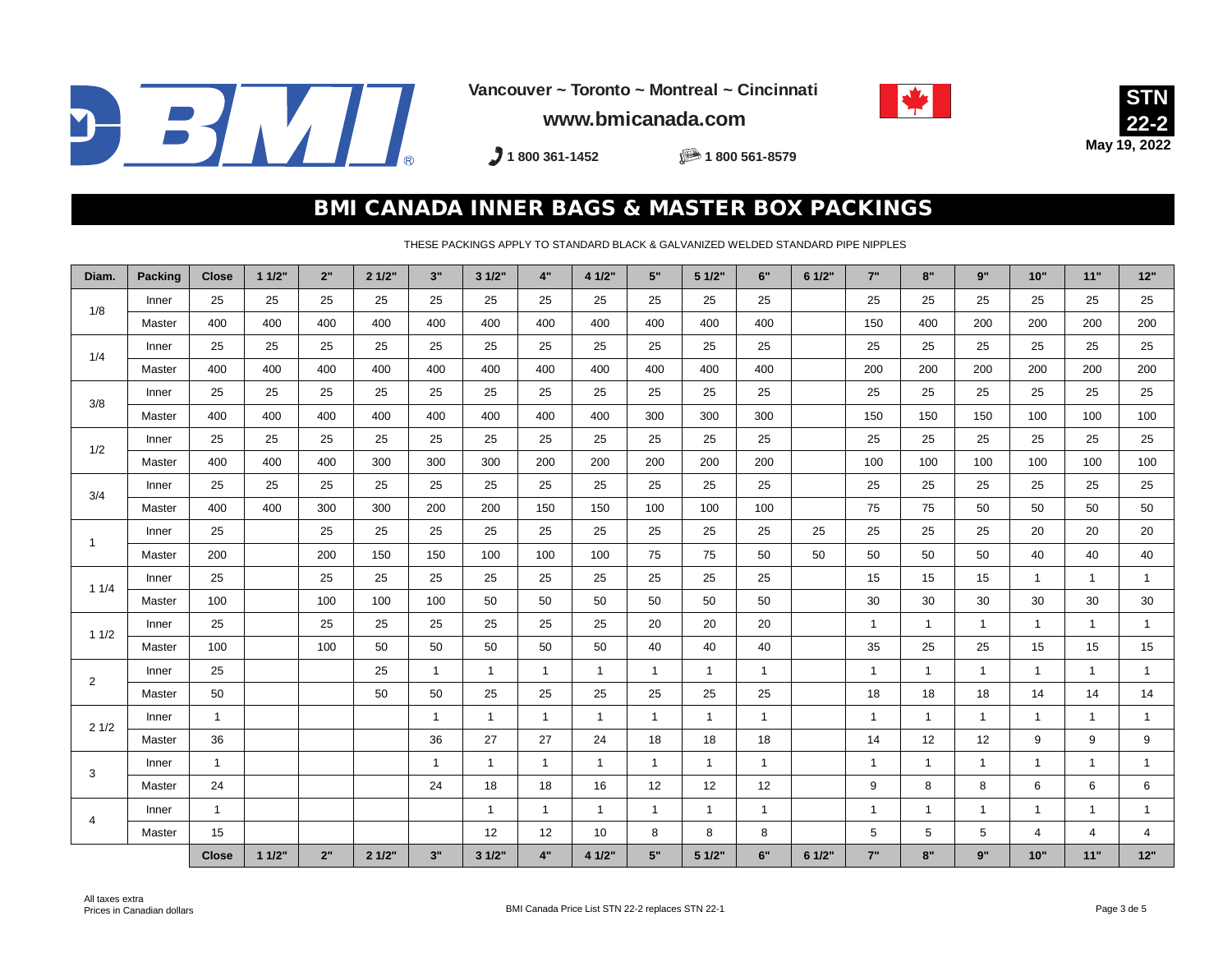

**Vancouver ~ Toronto ~ Montreal ~ Cincinnati**





**www.bmicanada.com**

**1 800 361-1452 1 800 561-8579**

#### BMI CANADA INNER BAGS & MASTER BOX PACKINGS

THESE PACKINGS APPLY TO STANDARD BLACK & GALVANIZED WELDED STANDARD PIPE NIPPLES

| Diam.          | <b>Packing</b> | <b>Close</b> | 11/2" | 2"  | 21/2" | 3"           | 31/2"          | 4"             | 4 1/2"         | 5"           | 51/2"          | 6"           | 6 1/2" | 7"           | 8"           | 9"             | 10"            | 11"          | 12"            |
|----------------|----------------|--------------|-------|-----|-------|--------------|----------------|----------------|----------------|--------------|----------------|--------------|--------|--------------|--------------|----------------|----------------|--------------|----------------|
| 1/8            | Inner          | 25           | 25    | 25  | 25    | 25           | 25             | 25             | 25             | 25           | 25             | 25           |        | 25           | 25           | 25             | 25             | 25           | 25             |
|                | Master         | 400          | 400   | 400 | 400   | 400          | 400            | 400            | 400            | 400          | 400            | 400          |        | 150          | 400          | 200            | 200            | 200          | 200            |
| 1/4            | Inner          | 25           | 25    | 25  | 25    | 25           | 25             | 25             | 25             | 25           | 25             | 25           |        | 25           | 25           | 25             | 25             | 25           | 25             |
|                | Master         | 400          | 400   | 400 | 400   | 400          | 400            | 400            | 400            | 400          | 400            | 400          |        | 200          | 200          | 200            | 200            | 200          | 200            |
| 3/8            | Inner          | 25           | 25    | 25  | 25    | 25           | 25             | 25             | 25             | 25           | 25             | 25           |        | 25           | 25           | 25             | 25             | 25           | 25             |
|                | Master         | 400          | 400   | 400 | 400   | 400          | 400            | 400            | 400            | 300          | 300            | 300          |        | 150          | 150          | 150            | 100            | 100          | 100            |
| 1/2            | Inner          | 25           | 25    | 25  | 25    | 25           | 25             | 25             | 25             | 25           | 25             | 25           |        | 25           | 25           | 25             | 25             | 25           | 25             |
|                | Master         | 400          | 400   | 400 | 300   | 300          | 300            | 200            | 200            | 200          | 200            | 200          |        | 100          | 100          | 100            | 100            | 100          | 100            |
| 3/4            | Inner          | 25           | 25    | 25  | 25    | 25           | 25             | 25             | 25             | 25           | 25             | 25           |        | 25           | 25           | 25             | 25             | 25           | 25             |
|                | Master         | 400          | 400   | 300 | 300   | 200          | 200            | 150            | 150            | 100          | 100            | 100          |        | 75           | 75           | 50             | 50             | 50           | 50             |
| $\overline{1}$ | Inner          | 25           |       | 25  | 25    | 25           | 25             | 25             | 25             | 25           | 25             | 25           | 25     | 25           | 25           | 25             | 20             | 20           | 20             |
|                | Master         | 200          |       | 200 | 150   | 150          | 100            | 100            | 100            | 75           | 75             | 50           | 50     | 50           | 50           | 50             | 40             | 40           | 40             |
| 11/4           | Inner          | 25           |       | 25  | 25    | 25           | 25             | 25             | 25             | 25           | 25             | 25           |        | 15           | 15           | 15             | $\overline{1}$ | $\mathbf{1}$ | $\mathbf{1}$   |
|                | Master         | 100          |       | 100 | 100   | 100          | 50             | 50             | 50             | 50           | 50             | 50           |        | 30           | 30           | 30             | 30             | 30           | 30             |
| 11/2           | Inner          | 25           |       | 25  | 25    | 25           | 25             | 25             | 25             | 20           | 20             | 20           |        | $\mathbf{1}$ | 1            | $\overline{1}$ | $\overline{1}$ | $\mathbf{1}$ | $\mathbf{1}$   |
|                | Master         | 100          |       | 100 | 50    | 50           | 50             | 50             | 50             | 40           | 40             | 40           |        | 35           | 25           | 25             | 15             | 15           | 15             |
| $\overline{2}$ | Inner          | 25           |       |     | 25    | $\mathbf{1}$ | $\mathbf{1}$   | $\mathbf{1}$   | $\mathbf{1}$   | $\mathbf{1}$ | $\mathbf{1}$   | $\mathbf{1}$ |        | $\mathbf{1}$ | $\mathbf{1}$ | $\overline{1}$ | $\overline{1}$ | $\mathbf{1}$ | $\mathbf{1}$   |
|                | Master         | 50           |       |     | 50    | 50           | 25             | 25             | 25             | 25           | 25             | 25           |        | 18           | 18           | 18             | 14             | 14           | 14             |
| 21/2           | Inner          | $\mathbf{1}$ |       |     |       | $\mathbf{1}$ | $\overline{1}$ | $\mathbf{1}$   | $\overline{1}$ | $\mathbf{1}$ | $\overline{1}$ | $\mathbf{1}$ |        | $\mathbf{1}$ | $\mathbf{1}$ | $\overline{1}$ | $\overline{1}$ | $\mathbf{1}$ | $\mathbf{1}$   |
|                | Master         | 36           |       |     |       | 36           | 27             | 27             | 24             | 18           | 18             | 18           |        | 14           | 12           | 12             | 9              | 9            | 9              |
| 3              | Inner          | $\mathbf{1}$ |       |     |       | $\mathbf 1$  | -1             | $\overline{1}$ | -1             | $\mathbf{1}$ | $\mathbf{1}$   | $\mathbf{1}$ |        | $\mathbf{1}$ | 1            | -1             | $\mathbf 1$    | $\mathbf{1}$ | $\mathbf{1}$   |
|                | Master         | 24           |       |     |       | 24           | 18             | 18             | 16             | 12           | 12             | 12           |        | 9            | 8            | 8              | 6              | 6            | 6              |
|                | Inner          | $\mathbf{1}$ |       |     |       |              | $\overline{1}$ | $\mathbf{1}$   | $\mathbf{1}$   | $\mathbf{1}$ | $\mathbf{1}$   | $\mathbf{1}$ |        | $\mathbf{1}$ | $\mathbf{1}$ | $\overline{1}$ | $\overline{1}$ | $\mathbf{1}$ | $\mathbf{1}$   |
| 4              | Master         | 15           |       |     |       |              | 12             | 12             | 10             | 8            | 8              | 8            |        | 5            | 5            | 5              | $\overline{4}$ | 4            | $\overline{4}$ |
|                |                | <b>Close</b> | 11/2" | 2"  | 21/2" | 3"           | 3 1/2"         | 4"             | 4 1/2"         | 5"           | 5 1/2"         | 6"           | 6 1/2" | 7"           | 8"           | 9"             | 10"            | 11"          | 12"            |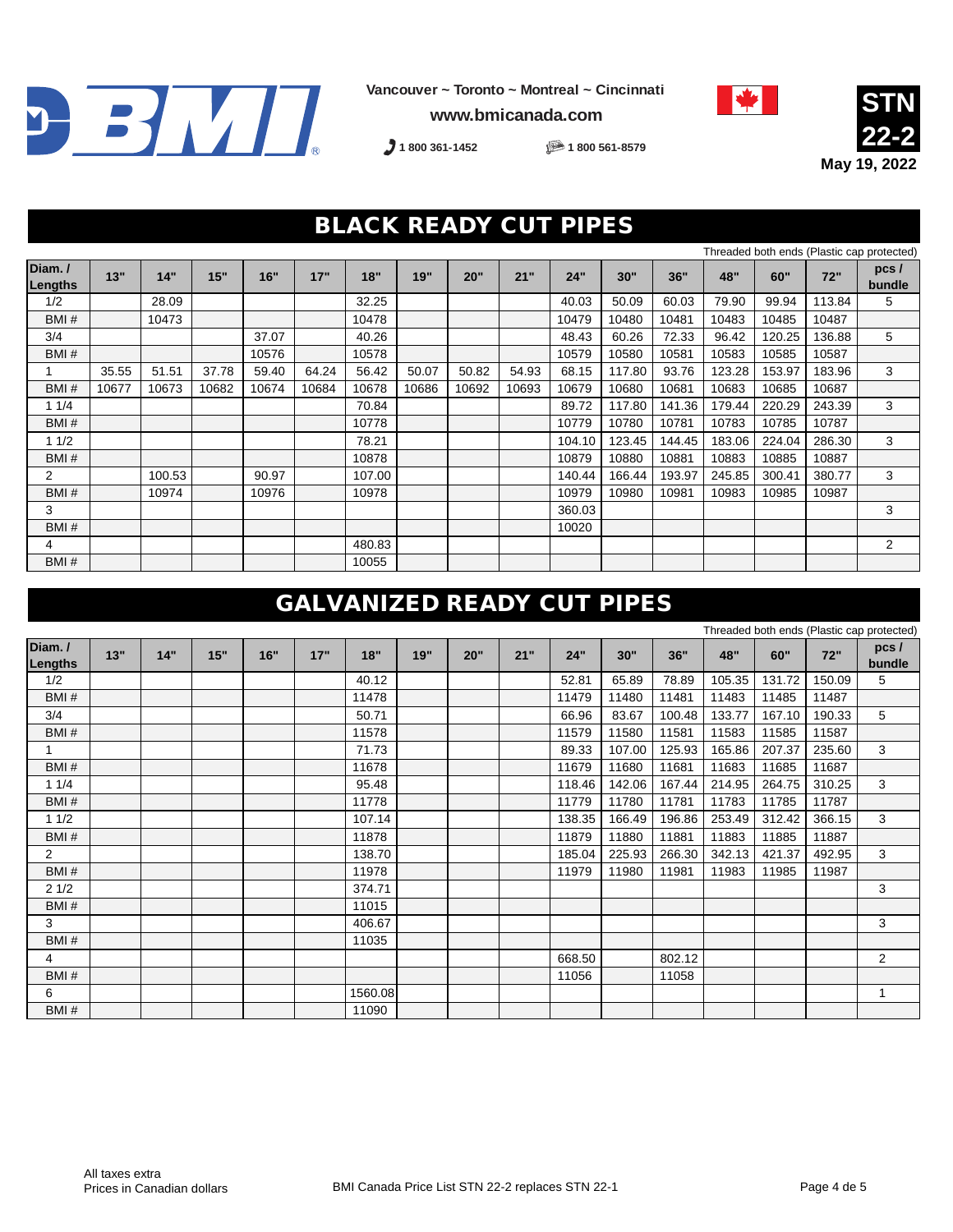

**www.bmicanada.com**



**STN 22-2 May 19, 2022**

Threaded both ends (Plastic cap protected)

**1 800 361-1452 1 800 561-8579**

### BLACK READY CUT PIPES

|                   |       |        |       |       |       |        |       |       |       |        |        |        |        |        |        | Trifeaded both ends (Plastic cap protected) |
|-------------------|-------|--------|-------|-------|-------|--------|-------|-------|-------|--------|--------|--------|--------|--------|--------|---------------------------------------------|
| Diam./<br>Lengths | 13"   | 14"    | 15"   | 16"   | 17"   | 18"    | 19"   | 20"   | 21"   | 24"    | 30"    | 36"    | 48"    | 60"    | 72"    | $pc5$ /<br>bundle                           |
| 1/2               |       | 28.09  |       |       |       | 32.25  |       |       |       | 40.03  | 50.09  | 60.03  | 79.90  | 99.94  | 113.84 | 5                                           |
| BMI#              |       | 10473  |       |       |       | 10478  |       |       |       | 10479  | 10480  | 10481  | 10483  | 10485  | 10487  |                                             |
| 3/4               |       |        |       | 37.07 |       | 40.26  |       |       |       | 48.43  | 60.26  | 72.33  | 96.42  | 120.25 | 136.88 | 5                                           |
| BMH               |       |        |       | 10576 |       | 10578  |       |       |       | 10579  | 10580  | 10581  | 10583  | 10585  | 10587  |                                             |
|                   | 35.55 | 51.51  | 37.78 | 59.40 | 64.24 | 56.42  | 50.07 | 50.82 | 54.93 | 68.15  | 117.80 | 93.76  | 123.28 | 153.97 | 183.96 | 3                                           |
| BMI#              | 10677 | 10673  | 10682 | 10674 | 10684 | 10678  | 10686 | 10692 | 10693 | 10679  | 10680  | 10681  | 10683  | 10685  | 10687  |                                             |
| 11/4              |       |        |       |       |       | 70.84  |       |       |       | 89.72  | 117.80 | 141.36 | 179.44 | 220.29 | 243.39 | 3                                           |
| BMI#              |       |        |       |       |       | 10778  |       |       |       | 10779  | 10780  | 10781  | 10783  | 10785  | 10787  |                                             |
| 11/2              |       |        |       |       |       | 78.21  |       |       |       | 104.10 | 123.45 | 144.45 | 183.06 | 224.04 | 286.30 | 3                                           |
| BMI#              |       |        |       |       |       | 10878  |       |       |       | 10879  | 10880  | 10881  | 10883  | 10885  | 10887  |                                             |
| $\overline{2}$    |       | 100.53 |       | 90.97 |       | 107.00 |       |       |       | 140.44 | 166.44 | 193.97 | 245.85 | 300.41 | 380.77 | 3                                           |
| BMI#              |       | 10974  |       | 10976 |       | 10978  |       |       |       | 10979  | 10980  | 10981  | 10983  | 10985  | 10987  |                                             |
| 3                 |       |        |       |       |       |        |       |       |       | 360.03 |        |        |        |        |        | 3                                           |
| BMI#              |       |        |       |       |       |        |       |       |       | 10020  |        |        |        |        |        |                                             |
| 4                 |       |        |       |       |       | 480.83 |       |       |       |        |        |        |        |        |        | 2                                           |
| BMI#              |       |        |       |       |       | 10055  |       |       |       |        |        |        |        |        |        |                                             |

## GALVANIZED READY CUT PIPES

|                   |     |     |     |     |     |         |     |     |     |        |        |        |        |        |        | Threaded both ends (Plastic cap protected) |
|-------------------|-----|-----|-----|-----|-----|---------|-----|-----|-----|--------|--------|--------|--------|--------|--------|--------------------------------------------|
| Diam./<br>Lengths | 13" | 14" | 15" | 16" | 17" | 18"     | 19" | 20" | 21" | 24"    | 30"    | 36"    | 48"    | 60"    | 72"    | pcs/<br>bundle                             |
| 1/2               |     |     |     |     |     | 40.12   |     |     |     | 52.81  | 65.89  | 78.89  | 105.35 | 131.72 | 150.09 | 5                                          |
| BMI#              |     |     |     |     |     | 11478   |     |     |     | 11479  | 11480  | 11481  | 11483  | 11485  | 11487  |                                            |
| 3/4               |     |     |     |     |     | 50.71   |     |     |     | 66.96  | 83.67  | 100.48 | 133.77 | 167.10 | 190.33 | 5                                          |
| BMI#              |     |     |     |     |     | 11578   |     |     |     | 11579  | 11580  | 11581  | 11583  | 11585  | 11587  |                                            |
|                   |     |     |     |     |     | 71.73   |     |     |     | 89.33  | 107.00 | 125.93 | 165.86 | 207.37 | 235.60 | 3                                          |
| BMI#              |     |     |     |     |     | 11678   |     |     |     | 11679  | 11680  | 11681  | 11683  | 11685  | 11687  |                                            |
| 11/4              |     |     |     |     |     | 95.48   |     |     |     | 118.46 | 142.06 | 167.44 | 214.95 | 264.75 | 310.25 | 3                                          |
| BMI#              |     |     |     |     |     | 11778   |     |     |     | 11779  | 11780  | 11781  | 11783  | 11785  | 11787  |                                            |
| 11/2              |     |     |     |     |     | 107.14  |     |     |     | 138.35 | 166.49 | 196.86 | 253.49 | 312.42 | 366.15 | 3                                          |
| BMI#              |     |     |     |     |     | 11878   |     |     |     | 11879  | 11880  | 11881  | 11883  | 11885  | 11887  |                                            |
| $\overline{2}$    |     |     |     |     |     | 138.70  |     |     |     | 185.04 | 225.93 | 266.30 | 342.13 | 421.37 | 492.95 | 3                                          |
| BMH               |     |     |     |     |     | 11978   |     |     |     | 11979  | 11980  | 11981  | 11983  | 11985  | 11987  |                                            |
| 21/2              |     |     |     |     |     | 374.71  |     |     |     |        |        |        |        |        |        | 3                                          |
| BMI#              |     |     |     |     |     | 11015   |     |     |     |        |        |        |        |        |        |                                            |
| 3                 |     |     |     |     |     | 406.67  |     |     |     |        |        |        |        |        |        | 3                                          |
| BMI#              |     |     |     |     |     | 11035   |     |     |     |        |        |        |        |        |        |                                            |
| $\overline{4}$    |     |     |     |     |     |         |     |     |     | 668.50 |        | 802.12 |        |        |        | 2                                          |
| BMI#              |     |     |     |     |     |         |     |     |     | 11056  |        | 11058  |        |        |        |                                            |
| 6                 |     |     |     |     |     | 1560.08 |     |     |     |        |        |        |        |        |        | 1                                          |
| BMI#              |     |     |     |     |     | 11090   |     |     |     |        |        |        |        |        |        |                                            |